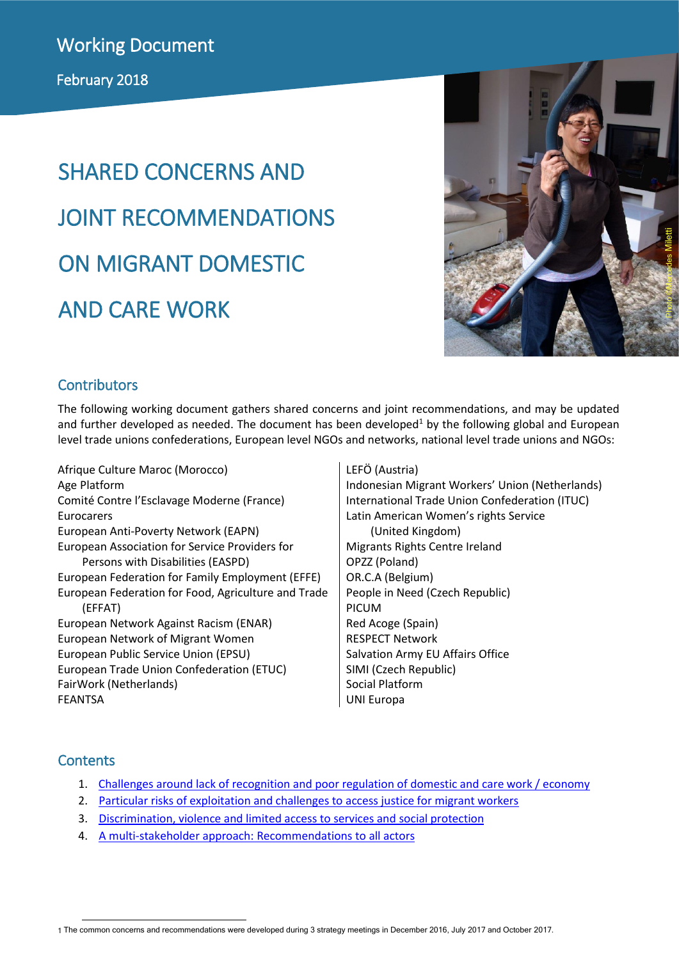# SHARED CONCERNS AND JOINT RECOMMENDATIONS ON MIGRANT DOMESTIC AND CARE WORK



#### **Contributors**

The following working document gathers shared concerns and joint recommendations, and may be updated and further developed as needed. The document has been developed<sup>1</sup> by the following global and European level trade unions confederations, European level NGOs and networks, national level trade unions and NGOs:

Afrique Culture Maroc (Morocco) Age Platform Comité Contre l'Esclavage Moderne (France) Eurocarers European Anti-Poverty Network (EAPN) European Association for Service Providers for Persons with Disabilities (EASPD) European Federation for Family Employment (EFFE) European Federation for Food, Agriculture and Trade (EFFAT) European Network Against Racism (ENAR) European Network of Migrant Women European Public Service Union (EPSU) European Trade Union Confederation (ETUC) FairWork (Netherlands) FEANTSA

#### LEFÖ (Austria)

Indonesian Migrant Workers' Union (Netherlands) International Trade Union Confederation (ITUC) Latin American Women's rights Service (United Kingdom) Migrants Rights Centre Ireland OPZZ (Poland) OR.C.A (Belgium) People in Need (Czech Republic) PICUM Red Acoge (Spain) RESPECT Network Salvation Army EU Affairs Office SIMI (Czech Republic) Social Platform UNI Europa

#### **Contents**

- 1. Challenges [around lack of recognition and poor regulation of domestic and care work / economy](#page-1-0)
- 2. [Particular risks of exploitation and challenges to access justice for migrant workers](#page-4-0)
- 3. [Discrimination, violence and limited access to services and social protection](#page-5-0)
- 4. [A multi-stakeholder approach: Recommendations to all actors](#page-6-0)

<sup>-</sup>1 The common concerns and recommendations were developed during 3 strategy meetings in December 2016, July 2017 and October 2017.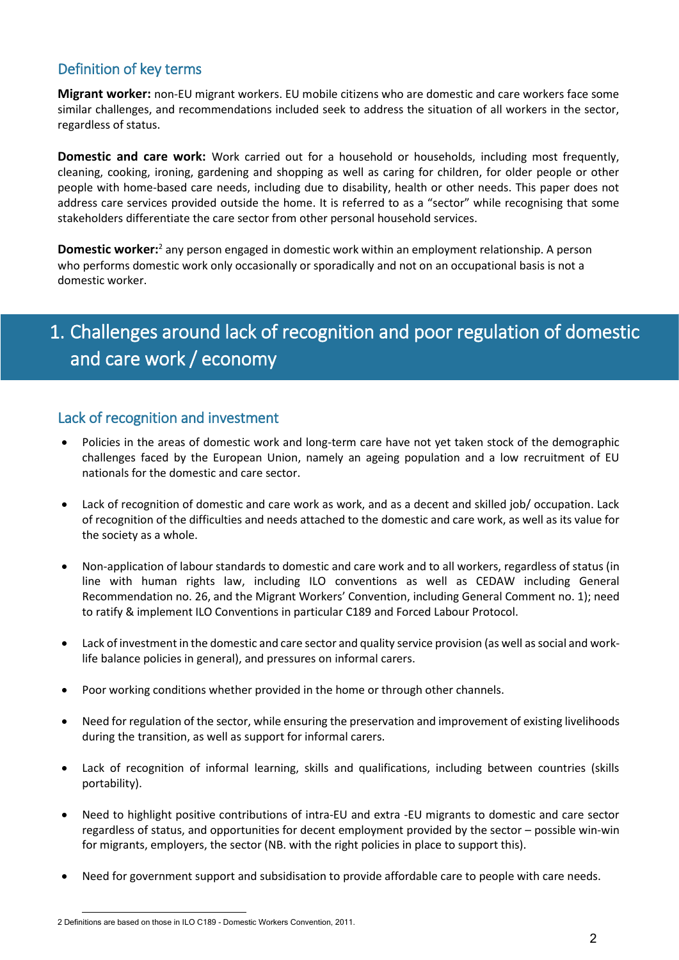#### Definition of key terms

**Migrant worker:** non-EU migrant workers. EU mobile citizens who are domestic and care workers face some similar challenges, and recommendations included seek to address the situation of all workers in the sector, regardless of status.

**Domestic and care work:** Work carried out for a household or households, including most frequently, cleaning, cooking, ironing, gardening and shopping as well as caring for children, for older people or other people with home-based care needs, including due to disability, health or other needs. This paper does not address care services provided outside the home. It is referred to as a "sector" while recognising that some stakeholders differentiate the care sector from other personal household services.

**Domestic worker:**<sup>2</sup> any person engaged in domestic work within an employment relationship. A person who performs domestic work only occasionally or sporadically and not on an occupational basis is not a domestic worker.

## <span id="page-1-0"></span>1. Challenges around lack of recognition and poor regulation of domestic and care work / economy

#### Lack of recognition and investment

- Policies in the areas of domestic work and long-term care have not yet taken stock of the demographic challenges faced by the European Union, namely an ageing population and a low recruitment of EU nationals for the domestic and care sector.
- Lack of recognition of domestic and care work as work, and as a decent and skilled job/ occupation. Lack of recognition of the difficulties and needs attached to the domestic and care work, as well as its value for the society as a whole.
- Non-application of labour standards to domestic and care work and to all workers, regardless of status (in line with human rights law, including ILO conventions as well as CEDAW including General Recommendation no. 26, and the Migrant Workers' Convention, including General Comment no. 1); need to ratify & implement ILO Conventions in particular C189 and Forced Labour Protocol.
- Lack of investment in the domestic and care sector and quality service provision (as well as social and worklife balance policies in general), and pressures on informal carers.
- Poor working conditions whether provided in the home or through other channels.
- Need for regulation of the sector, while ensuring the preservation and improvement of existing livelihoods during the transition, as well as support for informal carers.
- Lack of recognition of informal learning, skills and qualifications, including between countries (skills portability).
- Need to highlight positive contributions of intra-EU and extra -EU migrants to domestic and care sector regardless of status, and opportunities for decent employment provided by the sector – possible win-win for migrants, employers, the sector (NB. with the right policies in place to support this).
- Need for government support and subsidisation to provide affordable care to people with care needs.

<sup>-</sup>2 Definitions are based on those in ILO C189 - Domestic Workers Convention, 2011.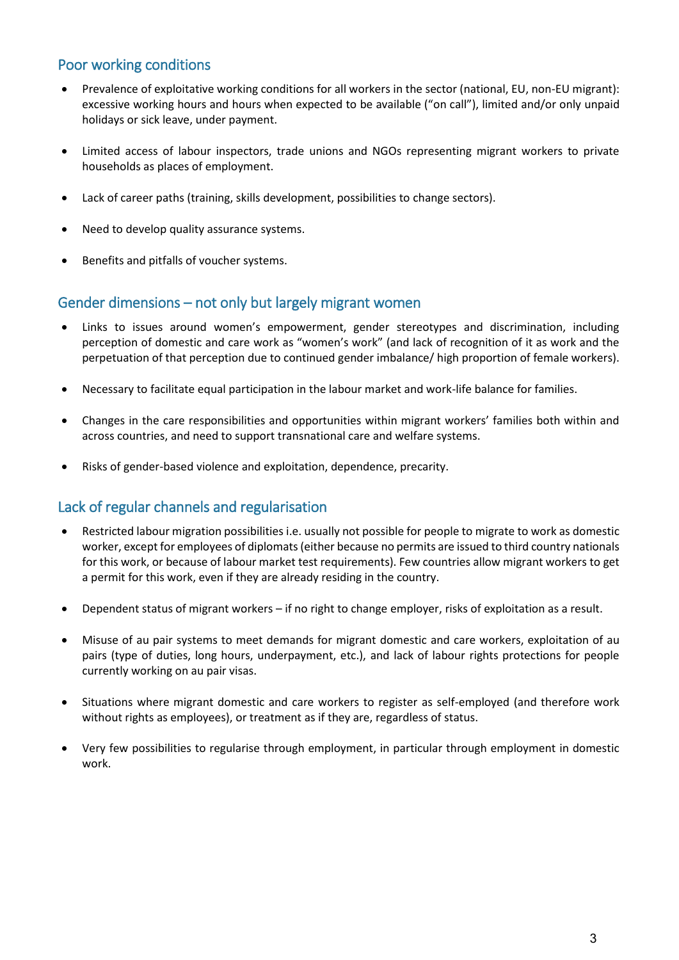#### Poor working conditions

- Prevalence of exploitative working conditions for all workers in the sector (national, EU, non-EU migrant): excessive working hours and hours when expected to be available ("on call"), limited and/or only unpaid holidays or sick leave, under payment.
- Limited access of labour inspectors, trade unions and NGOs representing migrant workers to private households as places of employment.
- Lack of career paths (training, skills development, possibilities to change sectors).
- Need to develop quality assurance systems.
- Benefits and pitfalls of voucher systems.

#### Gender dimensions – not only but largely migrant women

- Links to issues around women's empowerment, gender stereotypes and discrimination, including perception of domestic and care work as "women's work" (and lack of recognition of it as work and the perpetuation of that perception due to continued gender imbalance/ high proportion of female workers).
- Necessary to facilitate equal participation in the labour market and work-life balance for families.
- Changes in the care responsibilities and opportunities within migrant workers' families both within and across countries, and need to support transnational care and welfare systems.
- Risks of gender-based violence and exploitation, dependence, precarity.

#### Lack of regular channels and regularisation

- Restricted labour migration possibilities i.e. usually not possible for people to migrate to work as domestic worker, except for employees of diplomats (either because no permits are issued to third country nationals for this work, or because of labour market test requirements). Few countries allow migrant workers to get a permit for this work, even if they are already residing in the country.
- Dependent status of migrant workers if no right to change employer, risks of exploitation as a result.
- Misuse of au pair systems to meet demands for migrant domestic and care workers, exploitation of au pairs (type of duties, long hours, underpayment, etc.), and lack of labour rights protections for people currently working on au pair visas.
- Situations where migrant domestic and care workers to register as self-employed (and therefore work without rights as employees), or treatment as if they are, regardless of status.
- Very few possibilities to regularise through employment, in particular through employment in domestic work.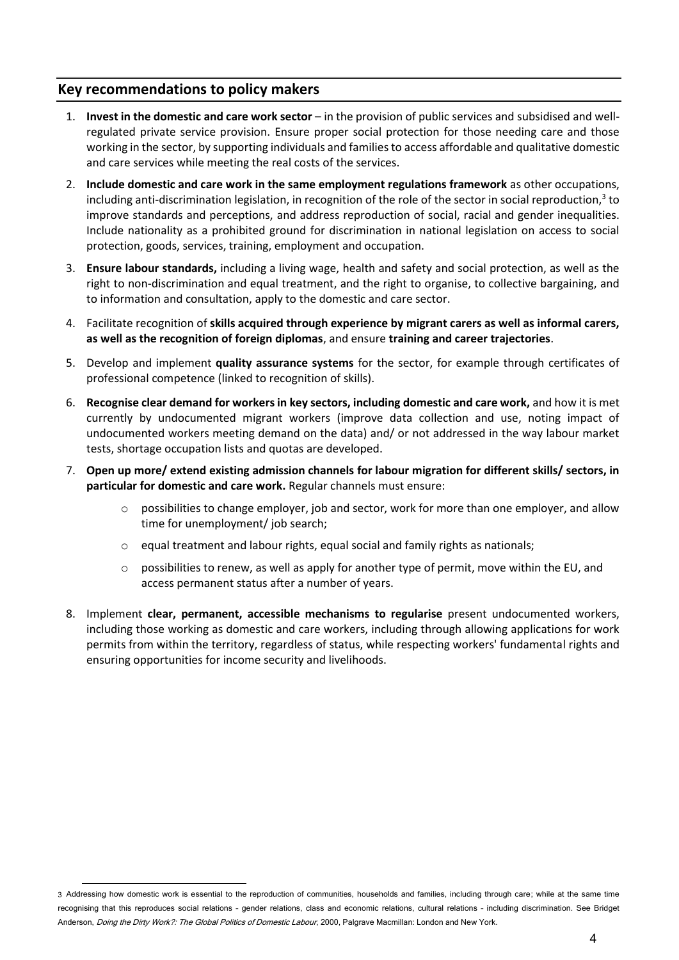#### **Key recommendations to policy makers**

- 1. **Invest in the domestic and care work sector** in the provision of public services and subsidised and wellregulated private service provision. Ensure proper social protection for those needing care and those working in the sector, by supporting individuals and families to access affordable and qualitative domestic and care services while meeting the real costs of the services.
- 2. **Include domestic and care work in the same employment regulations framework** as other occupations, including anti-discrimination legislation, in recognition of the role of the sector in social reproduction,<sup>3</sup> to improve standards and perceptions, and address reproduction of social, racial and gender inequalities. Include nationality as a prohibited ground for discrimination in national legislation on access to social protection, goods, services, training, employment and occupation.
- 3. **Ensure labour standards,** including a living wage, health and safety and social protection, as well as the right to non-discrimination and equal treatment, and the right to organise, to collective bargaining, and to information and consultation, apply to the domestic and care sector.
- 4. Facilitate recognition of **skills acquired through experience by migrant carers as well as informal carers, as well as the recognition of foreign diplomas**, and ensure **training and career trajectories**.
- 5. Develop and implement **quality assurance systems** for the sector, for example through certificates of professional competence (linked to recognition of skills).
- 6. **Recognise clear demand for workers in key sectors, including domestic and care work,** and how it is met currently by undocumented migrant workers (improve data collection and use, noting impact of undocumented workers meeting demand on the data) and/ or not addressed in the way labour market tests, shortage occupation lists and quotas are developed.
- 7. **Open up more/ extend existing admission channels for labour migration for different skills/ sectors, in particular for domestic and care work.** Regular channels must ensure:
	- possibilities to change employer, job and sector, work for more than one employer, and allow time for unemployment/ job search;
	- o equal treatment and labour rights, equal social and family rights as nationals;
	- $\circ$  possibilities to renew, as well as apply for another type of permit, move within the EU, and access permanent status after a number of years.
- 8. Implement **clear, permanent, accessible mechanisms to regularise** present undocumented workers, including those working as domestic and care workers, including through allowing applications for work permits from within the territory, regardless of status, while respecting workers' fundamental rights and ensuring opportunities for income security and livelihoods.

<sup>1</sup> 3 Addressing how domestic work is essential to the reproduction of communities, households and families, including through care; while at the same time recognising that this reproduces social relations - gender relations, class and economic relations, cultural relations - including discrimination. See Bridget Anderson, *Doing the Dirty Work?: The Global Politics of Domestic Labour*, 2000. Palgrave Macmillan: London and New York.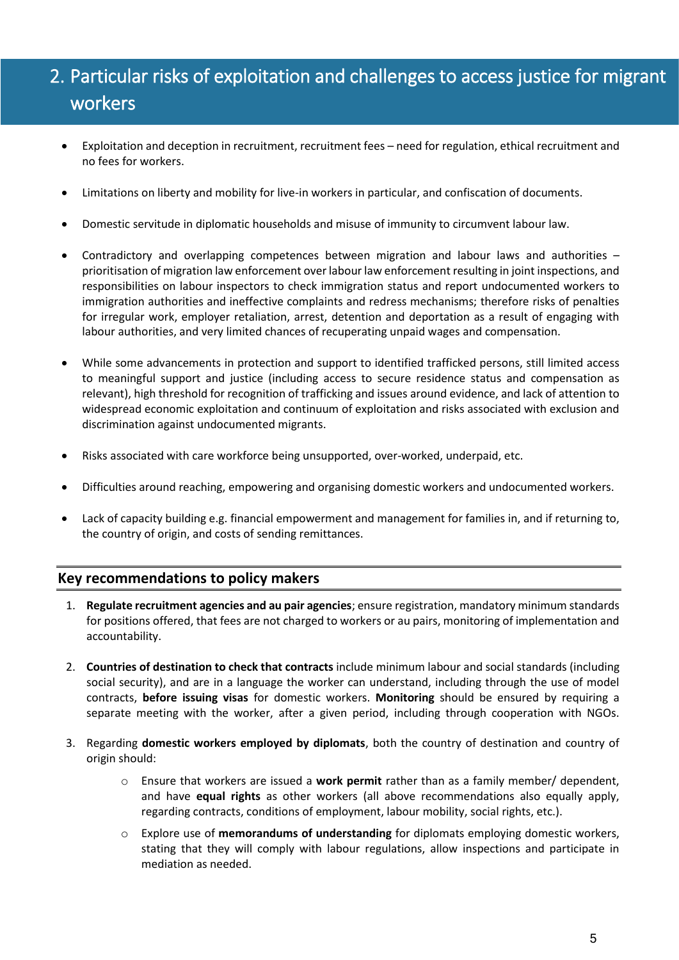## <span id="page-4-0"></span>2. Particular risks of exploitation and challenges to access justice for migrant workers

- Exploitation and deception in recruitment, recruitment fees need for regulation, ethical recruitment and no fees for workers.
- Limitations on liberty and mobility for live-in workers in particular, and confiscation of documents.
- Domestic servitude in diplomatic households and misuse of immunity to circumvent labour law.
- Contradictory and overlapping competences between migration and labour laws and authorities prioritisation of migration law enforcement over labour law enforcement resulting in joint inspections, and responsibilities on labour inspectors to check immigration status and report undocumented workers to immigration authorities and ineffective complaints and redress mechanisms; therefore risks of penalties for irregular work, employer retaliation, arrest, detention and deportation as a result of engaging with labour authorities, and very limited chances of recuperating unpaid wages and compensation.
- While some advancements in protection and support to identified trafficked persons, still limited access to meaningful support and justice (including access to secure residence status and compensation as relevant), high threshold for recognition of trafficking and issues around evidence, and lack of attention to widespread economic exploitation and continuum of exploitation and risks associated with exclusion and discrimination against undocumented migrants.
- Risks associated with care workforce being unsupported, over-worked, underpaid, etc.
- Difficulties around reaching, empowering and organising domestic workers and undocumented workers.
- Lack of capacity building e.g. financial empowerment and management for families in, and if returning to, the country of origin, and costs of sending remittances.

#### **Key recommendations to policy makers**

- 1. **Regulate recruitment agencies and au pair agencies**; ensure registration, mandatory minimum standards for positions offered, that fees are not charged to workers or au pairs, monitoring of implementation and accountability.
- 2. **Countries of destination to check that contracts** include minimum labour and social standards (including social security), and are in a language the worker can understand, including through the use of model contracts, **before issuing visas** for domestic workers. **Monitoring** should be ensured by requiring a separate meeting with the worker, after a given period, including through cooperation with NGOs.
- 3. Regarding **domestic workers employed by diplomats**, both the country of destination and country of origin should:
	- o Ensure that workers are issued a **work permit** rather than as a family member/ dependent, and have **equal rights** as other workers (all above recommendations also equally apply, regarding contracts, conditions of employment, labour mobility, social rights, etc.).
	- o Explore use of **memorandums of understanding** for diplomats employing domestic workers, stating that they will comply with labour regulations, allow inspections and participate in mediation as needed.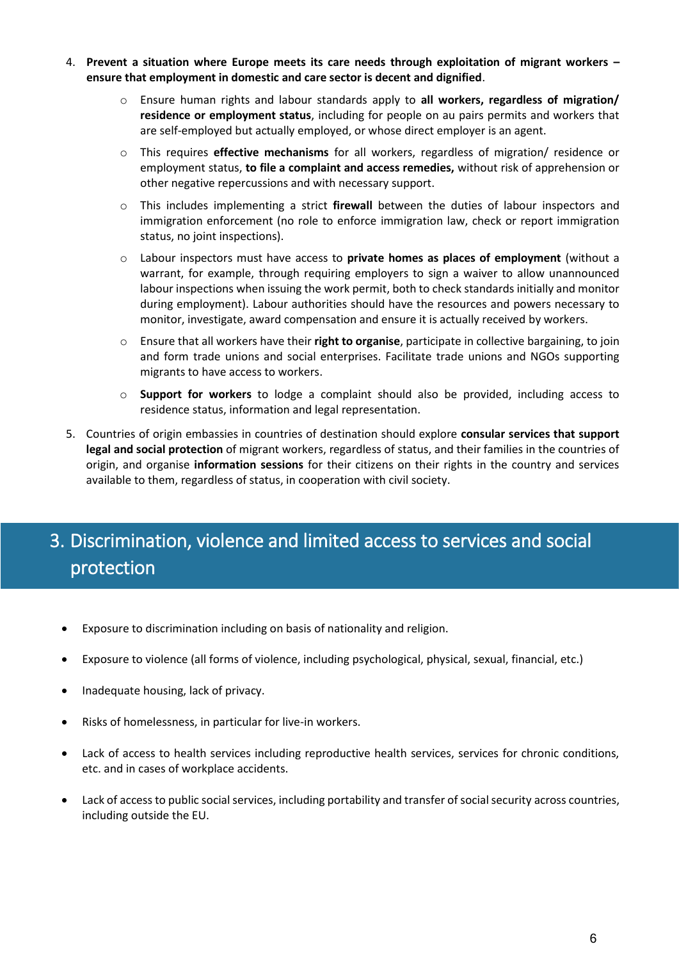- 4. **Prevent a situation where Europe meets its care needs through exploitation of migrant workers – ensure that employment in domestic and care sector is decent and dignified**.
	- o Ensure human rights and labour standards apply to **all workers, regardless of migration/ residence or employment status**, including for people on au pairs permits and workers that are self-employed but actually employed, or whose direct employer is an agent.
	- o This requires **effective mechanisms** for all workers, regardless of migration/ residence or employment status, **to file a complaint and access remedies,** without risk of apprehension or other negative repercussions and with necessary support.
	- o This includes implementing a strict **firewall** between the duties of labour inspectors and immigration enforcement (no role to enforce immigration law, check or report immigration status, no joint inspections).
	- o Labour inspectors must have access to **private homes as places of employment** (without a warrant, for example, through requiring employers to sign a waiver to allow unannounced labour inspections when issuing the work permit, both to check standards initially and monitor during employment). Labour authorities should have the resources and powers necessary to monitor, investigate, award compensation and ensure it is actually received by workers.
	- o Ensure that all workers have their **right to organise**, participate in collective bargaining, to join and form trade unions and social enterprises. Facilitate trade unions and NGOs supporting migrants to have access to workers.
	- o **Support for workers** to lodge a complaint should also be provided, including access to residence status, information and legal representation.
- 5. Countries of origin embassies in countries of destination should explore **consular services that support legal and social protection** of migrant workers, regardless of status, and their families in the countries of origin, and organise **information sessions** for their citizens on their rights in the country and services available to them, regardless of status, in cooperation with civil society.

## <span id="page-5-0"></span>3. Discrimination, violence and limited access to services and social protection

- Exposure to discrimination including on basis of nationality and religion.
- Exposure to violence (all forms of violence, including psychological, physical, sexual, financial, etc.)
- Inadequate housing, lack of privacy.
- Risks of homelessness, in particular for live-in workers.
- Lack of access to health services including reproductive health services, services for chronic conditions, etc. and in cases of workplace accidents.
- Lack of access to public social services, including portability and transfer of social security across countries, including outside the EU.